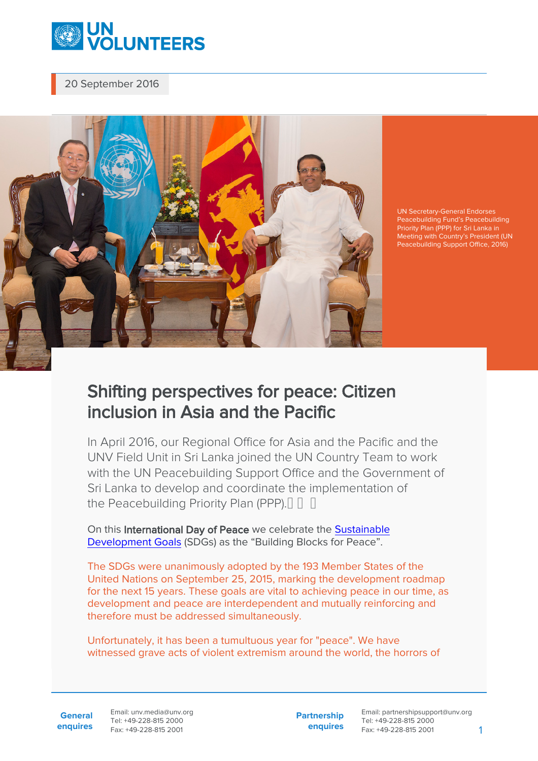

20 September 2016



UN Secretary-General Endorses Peacebuilding Fund's Peacebuilding Priority Plan (PPP) for Sri Lanka in Meeting with Country's President (UN Peacebuilding Support Office, 2016)

## Shifting perspectives for peace: Citizen inclusion in Asia and the Pacific

In April 2016, our Regional Office for Asia and the Pacific and the UNV Field Unit in Sri Lanka joined the UN Country Team to work with the UN Peacebuilding Support Office and the Government of Sri Lanka to develop and coordinate the implementation of the Peacebuilding Priority Plan (PPP).

On this International Day of Peace we celebrate the [Sustainable](http://www.un.org/ga/search/view_doc.asp?symbol=A/RES/70/1&Lang=E) [Development Goals](http://www.un.org/ga/search/view_doc.asp?symbol=A/RES/70/1&Lang=E) (SDGs) as the "Building Blocks for Peace".

The SDGs were unanimously adopted by the 193 Member States of the United Nations on September 25, 2015, marking the development roadmap for the next 15 years. These goals are vital to achieving peace in our time, as development and peace are interdependent and mutually reinforcing and therefore must be addressed simultaneously.

Unfortunately, it has been a tumultuous year for "peace". We have witnessed grave acts of violent extremism around the world, the horrors of

**General enquires** Email: unv.media@unv.org Tel: +49-228-815 2000 Fax: +49-228-815 2001

**Partnership enquires** Email: partnershipsupport@unv.org Tel: +49-228-815 2000 Fax: +49-228-815 2001 1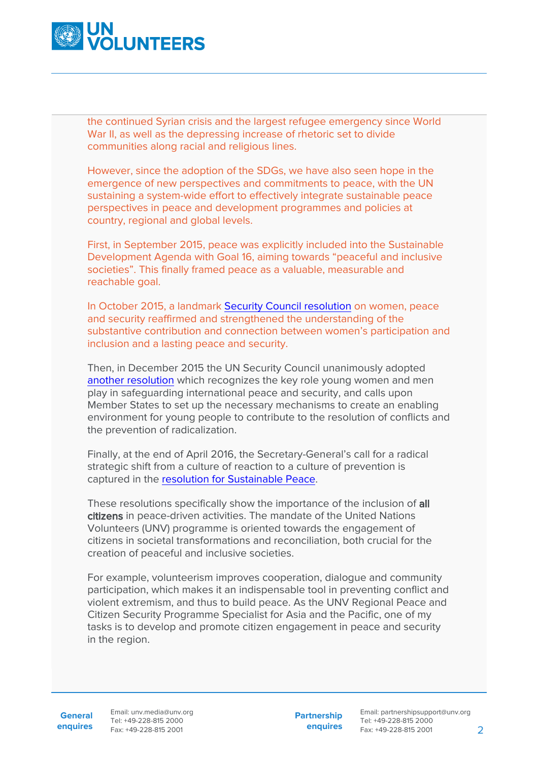

the continued Syrian crisis and the largest refugee emergency since World War II, as well as the depressing increase of rhetoric set to divide communities along racial and religious lines.

However, since the adoption of the SDGs, we have also seen hope in the emergence of new perspectives and commitments to peace, with the UN sustaining a system-wide effort to effectively integrate sustainable peace perspectives in peace and development programmes and policies at country, regional and global levels.

First, in September 2015, peace was explicitly included into the Sustainable Development Agenda with Goal 16, aiming towards "peaceful and inclusive societies". This finally framed peace as a valuable, measurable and reachable goal.

In October 2015, a landmark [Security Council resolution](https://www.securitycouncilreport.org/wp-content/uploads/s_res_2242.pdf) on women, peace and security reaffirmed and strengthened the understanding of the substantive contribution and connection between women's participation and inclusion and a lasting peace and security.

Then, in December 2015 the UN Security Council unanimously adopted [another resolution](https://www.securitycouncilreport.org/wp-content/uploads/s_res_2250.pdf) which recognizes the key role young women and men play in safeguarding international peace and security, and calls upon Member States to set up the necessary mechanisms to create an enabling environment for young people to contribute to the resolution of conflicts and the prevention of radicalization.

Finally, at the end of April 2016, the Secretary-General's call for a radical strategic shift from a culture of reaction to a culture of prevention is captured in the [resolution for Sustainable Peace.](http://www.un.org/press/en/2016/sc12340.doc.htm)

These resolutions specifically show the importance of the inclusion of all citizens in peace-driven activities. The mandate of the United Nations Volunteers (UNV) programme is oriented towards the engagement of citizens in societal transformations and reconciliation, both crucial for the creation of peaceful and inclusive societies.

For example, volunteerism improves cooperation, dialogue and community participation, which makes it an indispensable tool in preventing conflict and violent extremism, and thus to build peace. As the UNV Regional Peace and Citizen Security Programme Specialist for Asia and the Pacific, one of my tasks is to develop and promote citizen engagement in peace and security in the region.

**General enquires**

Email: unv.media@unv.org Tel: +49-228-815 2000 Fax: +49-228-815 2001

**Partnership enquires**

Email: partnershipsupport@unv.org Tel: +49-228-815 2000 Fax: +49-228-815 2001 2